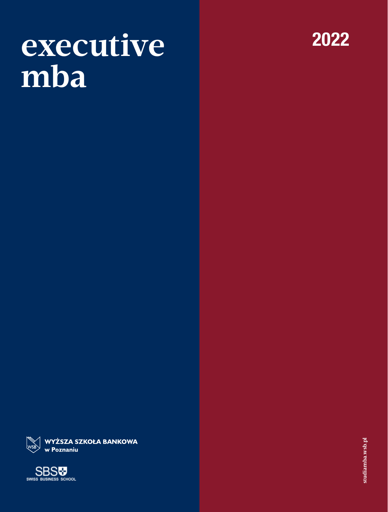# executive mba





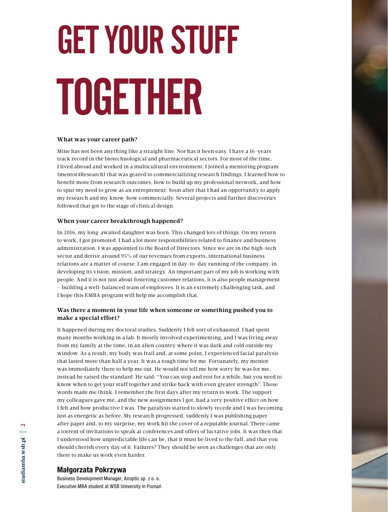# GET YOUR STUFF together

#### **What was your career path?**

Mine has not been anything like a straight line. Nor has it been easy. I have a 16-years track record in the biotechnological and pharmaceutical sectors. For most of the time, I lived abroad and worked in a multicultural environment. I joined a mentoring program (mentor4Research) that was geared to commercializing research findings. I learned how to benefit more from research outcomes, how to build up my professional network, and how to spur my need to grow as an entrepreneur. Soon after that I had an opportunity to apply my research and my know-how commercially. Several projects and further discoveries followed that got to the stage of clinical design.

#### **When your career breakthrough happened?**

In 2016, my long-awaited daughter was born. This changed lots of things. On my return to work, I got promoted. I had a lot more responsibilities related to finance and business administration. I was appointed to the Board of Directors. Since we are in the high-tech sector and derive around 95% of our revenues from exports, international business relations are a matter of course. I am engaged in day-to-day running of the company, in developing its vision, mission, and strategy. An important part of my job is working with people. And it is not just about fostering customer relations, it is also people management – building a well-balanced team of employees. It is an extremely challenging task, and I hope this EMBA program will help me accomplish that.

### **Was there a moment in your life when someone or something pushed you to make a special effort?**

It happened during my doctoral studies. Suddenly I felt sort of exhausted. I had spent many months working in a lab. It mostly involved experimenting, and I was living away from my family at the time, in an alien country where it was dark and cold outside my window. As a result, my body was frail and, at some point, I experienced facial paralysis that lasted more than half a year. It was a tough time for me. Fortunately, my mentor was immediately there to help me out. He would not tell me how sorry he was for me, instead he raised the standard. He said: "You can stop and rest for a while, but you need to know when to get your stuff together and strike back with even greater strength". Those words made me think. I remember the first days after my return to work. The support my colleagues gave me, and the new assignments I got, had a very positive effect on how I felt and how productive I was. The paralysis started to slowly recede and I was becoming just as energetic as before. My research progressed, suddenly I was publishing paper after paper and, to my surprise, my work hit the cover of a reputable journal. There came a torrent of invitations to speak at conferences and offers of lucrative jobs. It was then that I understood how unpredictable life can be, that it must be lived to the full, and that you should cherish every day of it. Failures? They should be seen as challenges that are only there to make us work even harder.

## Małgorzata Pokrzywa

Business Development Manager, Airoptic sp. z o. o. Executive MBA student at WSB University in Poznań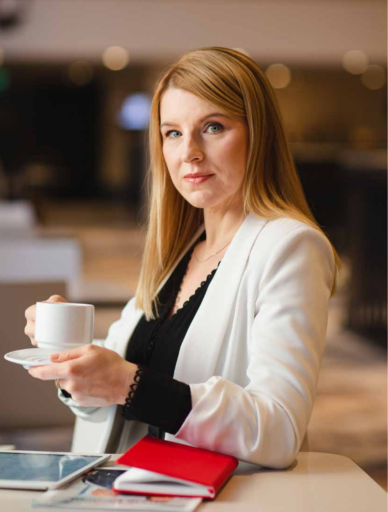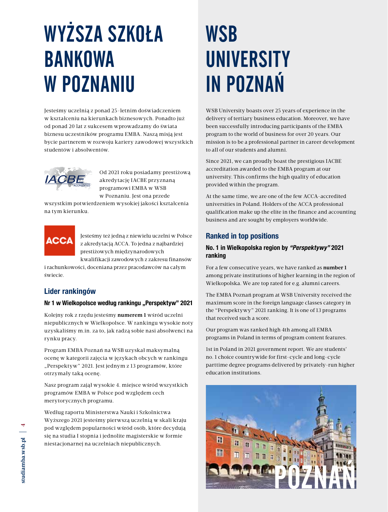# Wyższa Szkoła Bankowa w Poznaniu

Jesteśmy uczelnią z ponad 25-letnim doświadczeniem w kształceniu na kierunkach biznesowych. Ponadto już od ponad 20 lat z sukcesem wprowadzamy do świata biznesu uczestników programu EMBA. Naszą misją jest bycie partnerem w rozwoju kariery zawodowej wszystkich studentów i absolwentów.



Od 2021 roku posiadamy prestiżową akredytację IACBE przyznaną programowi EMBA w WSB w Poznaniu. Jest ona przede

wszystkim potwierdzeniem wysokiej jakości kształcenia na tym kierunku.



Jesteśmy też jedną z niewielu uczelni w Polsce z akredytacją ACCA. To jedna z najbardziej prestiżowych międzynarodowych kwalifikacji zawodowych z zakresu finansów

i rachunkowości, doceniana przez pracodawców na całym świecie.

# Lider rankingów

## Nr 1 w Wielkopolsce według rankingu "Perspektyw" 2021

Kolejny rok z rzędu jesteśmy **numerem 1** wśród uczelni niepublicznych w Wielkopolsce. W rankingu wysokie noty uzyskaliśmy m.in. za to, jak radzą sobie nasi absolwenci na rynku pracy.

Program EMBA Poznań na WSB uzyskał maksymalną ocenę w kategorii zajęcia w językach obcych w rankingu "Perspektyw" 2021. Jest jednym z 13 programów, które otrzymały taką ocenę.

Nasz program zajął wysokie 4. miejsce wśród wszystkich programów EMBA w Polsce pod względem cech merytorycznych programu.

Według raportu Ministerstwa Nauki i Szkolnictwa Wyższego 2021 jesteśmy pierwszą uczelnią w skali kraju pod względem popularności wśród osób, które decydują się na studia I stopnia i jednolite magisterskie w formie niestacjonarnej na uczelniach niepublicznych.

# **WSB** UNIVERSITY IN POZNAŃ

WSB University boasts over 25 years of experience in the delivery of tertiary business education. Moreover, we have been successfully introducing participants of the EMBA program to the world of business for over 20 years. Our mission is to be a professional partner in career development to all of our students and alumni.

Since 2021, we can proudly boast the prestigious IACBE accreditation awarded to the EMBA program at our university. This confirms the high quality of education provided within the program.

At the same time, we are one of the few ACCA-accredited universities in Poland. Holders of the ACCA professional qualification make up the elite in the finance and accounting business and are sought by employers worldwide.

# Ranked in top positions

## No. 1 in Wielkopolska region by "Perspektywy" 2021 ranking

For a few consecutive years, we have ranked as **number 1** among private institutions of higher learning in the region of Wielkopolska. We are top rated for e.g. alumni careers.

The EMBA Poznań program at WSB University received the maximum score in the foreign language classes category in the "Perspektywy" 2021 ranking. It is one of 13 programs that received such a score.

Our program was ranked high 4th among all EMBA programs in Poland in terms of program content features.

1st in Poland in 2021 government report. We are students' no. 1 choice countrywide for first-cycle and long-cycle parttime degree programs delivered by privately-run higher education institutions.

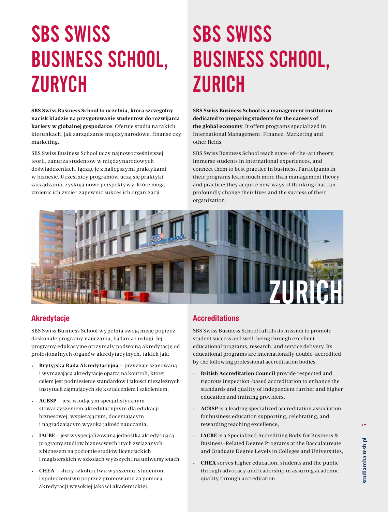# SBS SWISS BUSINESS SCHOOL, **ZURYCH**

**SBS Swiss Business School to uczelnia, która szczególny nacisk kładzie na przygotowanie studentów do rozwijania kariery w globalnej gospodarce**. Oferuje studia na takich kierunkach, jak zarządzanie międzynarodowe, finanse czy marketing.

SBS Swiss Business School uczy najnowocześniejszej teorii, zanurza studentów w międzynarodowych doświadczeniach, łącząc je z najlepszymi praktykami w biznesie. Uczestnicy programów uczą się praktyki zarządzania, zyskują nowe perspektywy, które mogą zmienić ich życie i zapewnić sukces ich organizacji.

# SBS Swiss Business School, **ZURICH**

**SBS Swiss Business School is a management institution dedicated to preparing students for the careers of the global economy**. It offers programs specialized in International Management, Finance, Marketing and other fields.

SBS Swiss Business School teach state-of-the-art theory, immerse students in international experiences, and connect them to best practice in business. Participants in their programs learn much more than management theory and practice; they acquire new ways of thinking that can profoundly change their lives and the success of their organization.



# **Akredytacje**

SBS Swiss Business School wypełnia swoją misję poprzez doskonałe programy nauczania, badania i usługi. Jej programy edukacyjne otrzymały podwójną akredytację od profesjonalnych organów akredytacyjnych, takich jak:

- Brytyjska Rada Akredytacyjna przyznaje szanowaną i wymagającą akredytację opartą na kontroli, której celem jest podniesienie standardów i jakości niezależnych instytucji zajmujących się kształceniem i szkoleniem,
- • **ACBSP** jest wiodącym specjalistycznym stowarzyszeniem akredytacyjnym dla edukacji biznesowej, wspierającym, doceniającym i nagradzającym wysoką jakość nauczania,
- IACBE jest wyspecjalizowaną jednostką akredytującą programy studiów biznesowych i tych związanych z biznesem na poziomie studiów licencjackich i magisterskich w szkołach wyższych i na uniwersytetach,
- **CHEA** służy szkolnictwu wyższemu, studentom i społeczeństwu poprzez promowanie za pomocą akredytacji wysokiej jakości akademickiej.

# Accreditations

SBS Swiss Business School fulfills its mission to promote student success and well-being through excellent educational programs, research, and service delivery. Its educational programs are internationally double-accredited by the following professional accreditation bodies:

- • **British Accreditation Council** provide respected and rigorous inspection-based accreditation to enhance the standards and quality of independent further and higher education and training providers,
- • **ACBSP** is a leading specialized accreditation association for business education supporting, celebrating, and rewarding teaching excellence,
- • **IACBE** is a Specialized Accrediting Body for Business & Business-Related Degree Programs at the Baccalaureate and Graduate Degree Levels in Colleges and Universities,
- • **CHEA** serves higher education, students and the public through advocacy and leadership in assuring academic quality through accreditation.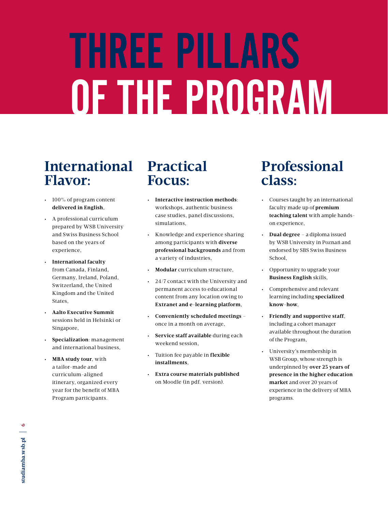# Three Pillars of the Program

# **International Practical Flavor:**

- $\cdot$  100% of program content **delivered in English**,
- • A professional curriculum prepared by WSB University and Swiss Business School based on the years of experience,
- • **International faculty**  from Canada, Finland, Germany, Ireland, Poland, Switzerland, the United Kingdom and the United States,
- • **Aalto Executive Summit**  sessions held in Helsinki or Singapore,
- • **Specialization**: management and international business,
- • **MBA study tour**, with a tailor-made and curriculum-aligned itinerary, organized every year for the benefit of MBA Program participants.

# **Focus:**

- • **Interactive instruction methods**: workshops, authentic business case studies, panel discussions, simulations,
- • Knowledge and experience sharing among participants with **diverse professional backgrounds** and from a variety of industries,
- **Modular** curriculum structure,
- 24/7 contact with the University and permanent access to educational content from any location owing to **Extranet and e-learning platform**,
- • **Conveniently scheduled meetings**  once in a month on average,
- • **Service staff available** during each weekend session,
- • Tuition fee payable in **flexible installments**,
- • **Extra course materials published**  on Moodle (in pdf. version).

# **Professional class:**

- • Courses taught by an international faculty made up of **premium teaching talent** with ample handson experience,
- • **Dual degree**  a diploma issued by WSB University in Poznań and endorsed by SBS Swiss Business School,
- • Opportunity to upgrade your **Business English** skills,
- • Comprehensive and relevant learning including **specialized know-how**,
- • **Friendly and supportive staff**, including a cohort manager available throughout the duration of the Program,
- University's membership in WSB Group, whose strength is underpinned by **over 25 years of presence in the higher education market** and over 20 years of experience in the delivery of MBA programs.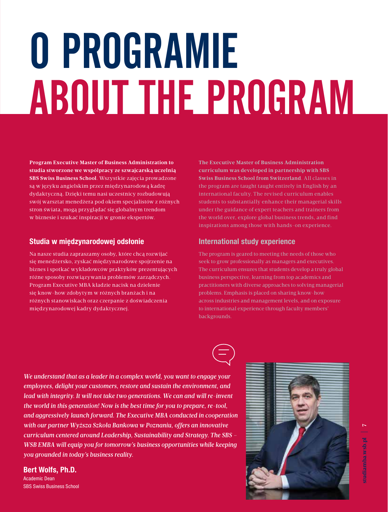# O PROGRAMIE ABOUT THE PROGRAM

**Program Executive Master of Business Administration to studia stworzone we współpracy ze szwajcarską uczelnią SBS Swiss Business School**. Wszystkie zajęcia prowadzone są w języku angielskim przez międzynarodową kadrę dydaktyczną. Dzięki temu nasi uczestnicy rozbudowują swój warsztat menedżera pod okiem specjalistów z różnych stron świata, mogą przyglądać się globalnym trendom w biznesie i szukać inspiracji w gronie ekspertów.

# Studia w międzynarodowej odsłonie

Na nasze studia zapraszamy osoby, które chcą rozwijać się menedżersko, zyskać międzynarodowe spojrzenie na biznes i spotkać wykładowców praktyków prezentujących różne sposoby rozwiązywania problemów zarządczych. Program Executive MBA kładzie nacisk na dzielenie się know-how zdobytym w różnych branżach i na różnych stanowiskach oraz czerpanie z doświadczenia międzynarodowej kadry dydaktycznej.

**The Executive Master of Business Administration curriculum was developed in partnership with SBS Swiss Business School from Switzerland**. All classes in the program are taught taught entirely in English by an international faculty. The revised curriculum enables students to substantially enhance their managerial skills under the guidance of expert teachers and trainers from the world over, explore global business trends, and find inspirations among those with hands-on experience.

# International study experience

The program is geared to meeting the needs of those who seek to grow professionally as managers and executives. The curriculum ensures that students develop a truly global business perspective, learning from top academics and practitioners with diverse approaches to solving managerial problems. Emphasis is placed on sharing know-how across industries and management levels, and on exposure to international experience through faculty members' backgrounds.

*We understand that as a leader in a complex world, you want to engage your employees, delight your customers, restore and sustain the environment, and lead with integrity. It will not take two generations. We can and will re-invent the world in this generation! Now is the best time for you to prepare, re-tool, and aggressively launch forward. The Executive MBA conducted in cooperation with our partner Wyższa Szkoła Bankowa w Poznaniu, offers an innovative curriculum centered around Leadership, Sustainability and Strategy. The SBS – WSB EMBA will equip you for tomorrow's business opportunities while keeping you grounded in today's business reality.*

Bert Wolfs, Ph.D.

Academic Dean SBS Swiss Business School

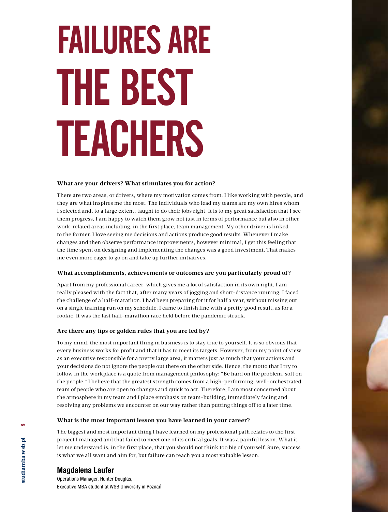# Failures are the best **TEACHERS**

### **What are your drivers? What stimulates you for action?**

There are two areas, or drivers, where my motivation comes from. I like working with people, and they are what inspires me the most. The individuals who lead my teams are my own hires whom I selected and, to a large extent, taught to do their jobs right. It is to my great satisfaction that I see them progress, I am happy to watch them grow not just in terms of performance but also in other work-related areas including, in the first place, team management. My other driver is linked to the former. I love seeing me decisions and actions produce good results. Whenever I make changes and then observe performance improvements, however minimal, I get this feeling that the time spent on designing and implementing the changes was a good investment. That makes me even more eager to go on and take up further initiatives.

### **What accomplishments, achievements or outcomes are you particularly proud of?**

Apart from my professional career, which gives me a lot of satisfaction in its own right, I am really pleased with the fact that, after many years of jogging and short-distance running, I faced the challenge of a half-marathon. I had been preparing for it for half a year, without missing out on a single training run on my schedule. I came to finish line with a pretty good result, as for a rookie. It was the last half-marathon race held before the pandemic struck.

### **Are there any tips or golden rules that you are led by?**

To my mind, the most important thing in business is to stay true to yourself. It is so obvious that every business works for profit and that it has to meet its targets. However, from my point of view as an executive responsible for a pretty large area, it matters just as much that your actions and your decisions do not ignore the people out there on the other side. Hence, the motto that I try to follow in the workplace is a quote from management philosophy: "Be hard on the problem, soft on the people." I believe that the greatest strength comes from a high-performing, well-orchestrated team of people who are open to changes and quick to act. Therefore, I am most concerned about the atmosphere in my team and I place emphasis on team-building, immediately facing and resolving any problems we encounter on our way rather than putting things off to a later time.

### **What is the most important lesson you have learned in your career?**

The biggest and most important thing I have learned on my professional path relates to the first project I managed and that failed to meet one of its critical goals. It was a painful lesson. What it let me understand is, in the first place, that you should not think too big of yourself. Sure, success is what we all want and aim for, but failure can teach you a most valuable lesson.

# Magdalena Laufer

Operations Manager, Hunter Douglas, Executive MBA student at WSB University in Poznań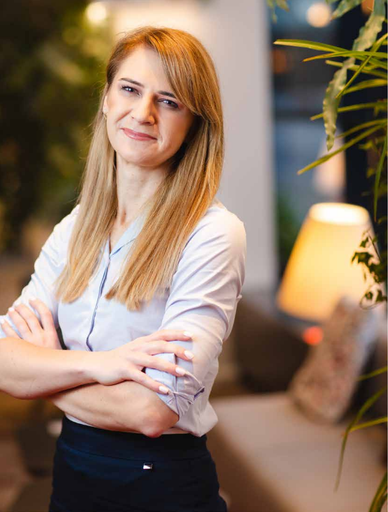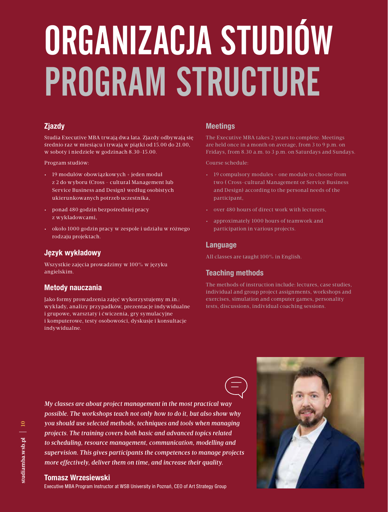# Organizacja studiów PROGRAM STRUCTURE

# **Zjazdy**

Studia Executive MBA trwają dwa lata. Zjazdy odbywają się średnio raz w miesiącu i trwają w piątki od 15.00 do 21.00, w soboty i niedziele w godzinach 8.30-15.00.

Program studiów:

- • 19 modułów obowiązkowych + jeden moduł z 2 do wyboru (Cross - cultural Management lub Service Business and Design) według osobistych ukierunkowanych potrzeb uczestnika,
- • ponad 480 godzin bezpośredniej pracy z wykładowcami,
- • około 1000 godzin pracy w zespole i udziału w różnego rodzaju projektach.

# Język wykładowy

Wszystkie zajęcia prowadzimy w 100% w języku angielskim.

# Metody nauczania

Jako formy prowadzenia zajęć wykorzystujemy m.in.: wykłady, analizy przypadków, prezentacje indywidualne i grupowe, warsztaty i ćwiczenia, gry symulacyjne i komputerowe, testy osobowości, dyskusje i konsultacje indywidualne.

# Meetings

The Executive MBA takes 2 years to complete. Meetings are held once in a month on average, from 3 to 9 p.m. on Fridays, from 8.30 a.m. to 3 p.m. on Saturdays and Sundays.

Course schedule:

- • 19 compulsory modules + one module to choose from two ( Cross-cultural Management or Service Business and Design) according to the personal needs of the participant,
- over 480 hours of direct work with lecturers,
- • approximately 1000 hours of teamwork and participation in various projects.

# Language

All classes are taught 100% in English.

# Teaching methods

The methods of instruction include: lectures, case studies, individual and group project assignments, workshops and exercises, simulation and computer games, personality tests, discussions, individual coaching sessions.

*My classes are about project management in the most practical way possible. The workshops teach not only how to do it, but also show why you should use selected methods, techniques and tools when managing projects. The training covers both basic and advanced topics related to scheduling, resource management, communication, modelling and supervision. This gives participants the competences to manage projects more effectively, deliver them on time, and increase their quality.* 

# Tomasz Wrzesiewski

Executive MBA Program Instructor at WSB University in Poznań, CEO of Art Strategy Group

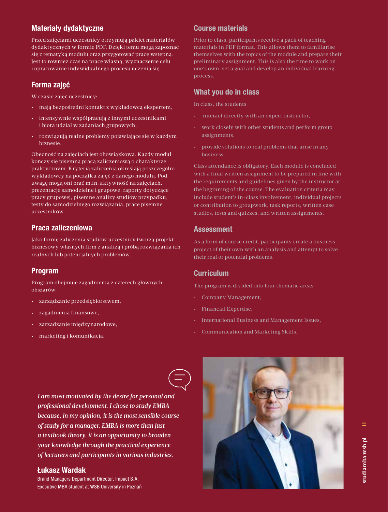# Materiały dydaktyczne

Przed zajęciami uczestnicy otrzymują pakiet materiałów dydaktycznych w formie PDF. Dzięki temu mogą zapoznać się z tematyką modułu oraz przygotować pracę wstępną. Jest to również czas na pracę własną, wyznaczenie celu i opracowanie indywidualnego procesu uczenia się.

# Forma zajęć

W czasie zajęć uczestnicy:

- • mają bezpośredni kontakt z wykładowcą ekspertem,
- • intensywnie współpracują z innymi uczestnikami i biorą udział w zadaniach grupowych,
- • rozwiązują realne problemy pojawiające się w każdym biznesie.

Obecność na zajęciach jest obowiązkowa. Każdy moduł kończy się pisemną pracą zaliczeniową o charakterze praktycznym. Kryteria zaliczenia określają poszczególni wykładowcy na początku zajęć z danego modułu. Pod uwagę mogą oni brać m.in. aktywność na zajęciach, prezentacje samodzielne i grupowe, raporty dotyczące pracy grupowej, pisemne analizy studiów przypadku, testy do samodzielnego rozwiązania, prace pisemne uczestników.

# Praca zaliczeniowa

Jako formę zaliczenia studiów uczestnicy tworzą projekt biznesowy własnych firm z analizą i próbą rozwiązania ich realnych lub potencjalnych problemów.

# Program

Program obejmuje zagadnienia z czterech głównych obszarów:

- • zarządzanie przedsiębiorstwem,
- • zagadnienia finansowe,
- • zarządzanie międzynarodowe,
- marketing i komunikacja.

# Course materials

Prior to class, participants receive a pack of teaching materials in PDF format. This allows them to familiarise themselves with the topics of the module and prepare their preliminary assignment. This is also the time to work on one's own, set a goal and develop an individual learning process.

# What you do in class

In class, the students:

- interact directly with an expert instructor,
- work closely with other students and perform group assignments,
- provide solutions to real problems that arise in any business.

Class attendance is obligatory. Each module is concluded with a final written assignment to be prepared in line with the requirements and guidelines given by the instructor at the beginning of the course. The evaluation criteria may include student's in-class involvement, individual projects or contribution to groupwork, task reports, written case studies, tests and quizzes, and written assignments.

# Assessment

As a form of course credit, participants create a business project of their own with an analysis and attempt to solve their real or potential problems.

# Curriculum

The program is divided into four thematic areas:

- • Company Management,
- Financial Expertise,
- International Business and Management Issues,
- • Communication and Marketing Skills.

*I am most motivated by the desire for personal and professional development. I chose to study EMBA because, in my opinion, it is the most sensible course of study for a manager. EMBA is more than just a textbook theory, it is an opportunity to broaden your knowledge through the practical experience of lecturers and participants in various industries.* 

# Łukasz Wardak

Brand Managers Department Director, Impact S.A. Executive MBA student at WSB University in Poznań

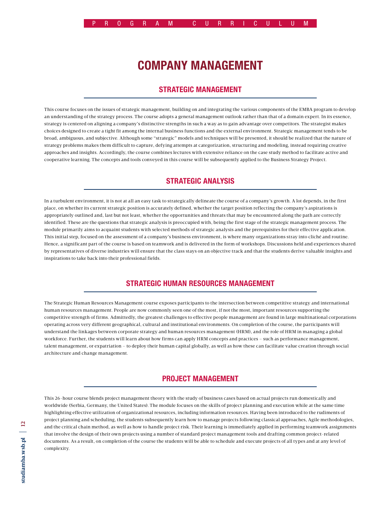# COMPANY MANAGEMENT

## STRATEGIC MANAGEMENT

This course focuses on the issues of strategic management, building on and integrating the various components of the EMBA program to develop an understanding of the strategy process. The course adopts a general management outlook rather than that of a domain expert. In its essence, strategy is centered on aligning a company's distinctive strengths in such a way as to gain advantage over competitors. The strategist makes choices designed to create a tight fit among the internal business functions and the external environment. Strategic management tends to be broad, ambiguous, and subjective. Although some "strategic" models and techniques will be presented, it should be realized that the nature of strategy problems makes them difficult to capture, defying attempts at categorization, structuring and modeling, instead requiring creative approaches and insights. Accordingly, the course combines lectures with extensive reliance on the case study method to facilitate active and cooperative learning. The concepts and tools conveyed in this course will be subsequently applied to the Business Strategy Project.

# STRATEGIC ANALYSIS

In a turbulent environment, it is not at all an easy task to strategically delineate the course of a company's growth. A lot depends, in the first place, on whether its current strategic position is accurately defined, whether the target position reflecting the company's aspirations is appropriately outlined and, last but not least, whether the opportunities and threats that may be encountered along the path are correctly identified. These are the questions that strategic analysis is preoccupied with, being the first stage of the strategic management process. The module primarily aims to acquaint students with selected methods of strategic analysis and the prerequisites for their effective application. This initial step, focused on the assessment of a company's business environment, is where many organizations stray into cliché and routine. Hence, a significant part of the course is based on teamwork and is delivered in the form of workshops. Discussions held and experiences shared by representatives of diverse industries will ensure that the class stays on an objective track and that the students derive valuable insights and inspirations to take back into their professional fields.

## STRATEGIC HUMAN RESOURCES MANAGEMENT

The Strategic Human Resources Management course exposes participants to the intersection between competitive strategy and international human resources management. People are now commonly seen one of the most, if not the most, important resources supporting the competitive strength of firms. Admittedly, the greatest challenges to effective people management are found in large multinational corporations operating across very different geographical, cultural and institutional environments. On completion of the course, the participants will understand the linkages between corporate strategy and human resources management (HRM), and the role of HRM in managing a global workforce. Further, the students will learn about how firms can apply HRM concepts and practices – such as performance management, talent management, or expatriation – to deploy their human capital globally, as well as how these can facilitate value creation through social architecture and change management.

## PROJECT MANAGEMENT

This 26-hour course blends project management theory with the study of business cases based on actual projects run domestically and worldwide (Serbia, Germany, the United States). The module focuses on the skills of project planning and execution while at the same time highlighting effective utilization of organizational resources, including information resources. Having been introduced to the rudiments of project planning and scheduling, the students subsequently learn how to manage projects following classical approaches, Agile methodologies, and the critical chain method, as well as how to handle project risk. Their learning is immediately applied in performing teamwork assignments that involve the design of their own projects using a number of standard project management tools and drafting common project-related documents. As a result, on completion of the course the students will be able to schedule and execute projects of all types and at any level of complexity.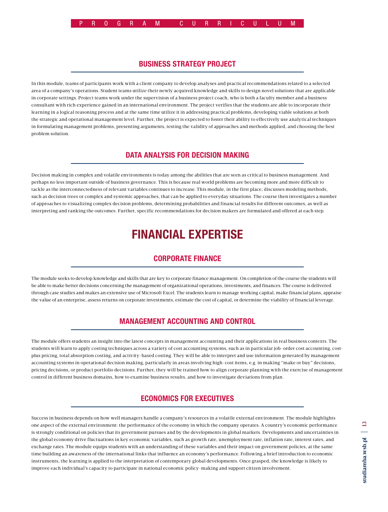

# BUSINESS STRATEGY PROJECT

In this module, teams of participants work with a client company to develop analyses and practical recommendations related to a selected area of a company's operations. Student teams utilize their newly acquired knowledge and skills to design novel solutions that are applicable in corporate settings. Project teams work under the supervision of a business project coach, who is both a faculty member and a business consultant with rich experience gained in an international environment. The project verifies that the students are able to incorporate their learning in a logical reasoning process and at the same time utilize it in addressing practical problems, developing viable solutions at both the strategic and operational management level. Further, the project is expected to foster their ability to effectively use analytical techniques in formulating management problems, presenting arguments, testing the validity of approaches and methods applied, and choosing the best problem solution.

# DATA ANALYSIS FOR DECISION MAKING

Decision making in complex and volatile environments is today among the abilities that are seen as critical to business management. And perhaps no less important outside of business governance. This is because real world problems are becoming more and more difficult to tackle as the interconnectedness of relevant variables continues to increase. This module, in the first place, discusses modeling methods, such as decision trees or complex and systemic approaches, that can be applied to everyday situations. The course then investigates a number of approaches to visualizing complex decision problems, determining probabilities and financial results for different outcomes, as well as interpreting and ranking the outcomes. Further, specific recommendations for decision makers are formulated and offered at each step.

# FINANCIAL EXPERTISE

# CORPORATE FINANCE

The module seeks to develop knowledge and skills that are key to corporate finance management. On completion of the course the students will be able to make better decisions concerning the management of organizational operations, investments, and finances. The course is delivered through case studies and makes an extensive use of Microsoft Excel. The students learn to manage working capital, make financial plans, appraise the value of an enterprise, assess returns on corporate investments, estimate the cost of capital, or determine the viability of financial leverage.

# MANAGEMENT ACCOUNTING AND CONTROL

The module offers students an insight into the latest concepts in management accounting and their applications in real business contexts. The students will learn to apply costing techniques across a variety of cost accounting systems, such as in particular job-order cost accounting, costplus pricing, total absorption costing, and activity-based costing. They will be able to interpret and use information generated by management accounting systems in operational decision making, particularly in areas involving high-cost items, e.g. in making "make or buy" decisions, pricing decisions, or product portfolio decisions. Further, they will be trained how to align corporate planning with the exercise of management control in different business domains, how to examine business results, and how to investigate deviations from plan.

# ECONOMICS FOR EXECUTIVES

Success in business depends on how well managers handle a company's resources in a volatile external environment. The module highlights one aspect of the external environment: the performance of the economy in which the company operates. A country's economic performance is strongly conditional on policies that its government pursues and by the developments in global markets. Developments and uncertainties in the global economy drive fluctuations in key economic variables, such as growth rate, unemployment rate, inflation rate, interest rates, and exchange rates. The module equips students with an understanding of these variables and their impact on government policies, at the same time building an awareness of the international links that influence an economy's performance. Following a brief introduction to economic instruments, the learning is applied to the interpretation of contemporary global developments. Once grasped, the knowledge is likely to improve each individual's capacity to participate in national economic policy-making and support citizen involvement.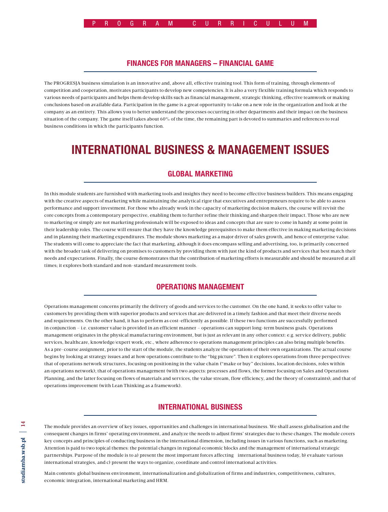## FINANCES FOR MANAGERS – FINANCIAL GAME

The PROGRESJA business simulation is an innovative and, above all, effective training tool. This form of training, through elements of competition and cooperation, motivates participants to develop new competencies. It is also a very flexible training formula which responds to various needs of participants and helps them develop skills such as financial management, strategic thinking, effective teamwork or making conclusions based on available data. Participation in the game is a great opportunity to take on a new role in the organization and look at the company as an entirety. This allows you to better understand the processes occurring in other departments and their impact on the business situation of the company. The game itself takes about 60% of the time, the remaining part is devoted to summaries and references to real business conditions in which the participants function.

# INTERNATIONAL BUSINESS & MANAGEMENT ISSUES

# GLOBAL MARKETING

In this module students are furnished with marketing tools and insights they need to become effective business builders. This means engaging with the creative aspects of marketing while maintaining the analytical rigor that executives and entrepreneurs require to be able to assess performance and support investment. For those who already work in the capacity of marketing decision makers, the course will revisit the core concepts from a contemporary perspective, enabling them to further refine their thinking and sharpen their impact. Those who are new to marketing or simply are not marketing professionals will be exposed to ideas and concepts that are sure to come in handy at some point in their leadership roles. The course will ensure that they have the knowledge prerequisites to make them effective in making marketing decisions and in planning their marketing expenditures. The module shows marketing as a major driver of sales growth, and hence of enterprise value. The students will come to appreciate the fact that marketing, although it does encompass selling and advertising, too, is primarily concerned with the broader task of delivering on promises to customers by providing them with just the kind of products and services that best match their needs and expectations. Finally, the course demonstrates that the contribution of marketing efforts is measurable and should be measured at all times; it explores both standard and non-standard measurement tools.

## OPERATIONS MANAGEMENT

Operations management concerns primarily the delivery of goods and services to the customer. On the one hand, it seeks to offer value to customers by providing them with superior products and services that are delivered in a timely fashion and that meet their diverse needs and requirements. On the other hand, it has to perform as cost-efficiently as possible. If these two functions are successfully performed in conjunction – i.e. customer value is provided in an efficient manner – operations can support long-term business goals. Operations management originates in the physical manufacturing environment, but is just as relevant in any other context: e.g. service delivery, public services, healthcare, knowledge/expert work, etc., where adherence to operations management principles can also bring multiple benefits. As a pre-course assignment, prior to the start of the module, the students analyze the operations of their own organizations. The actual course begins by looking at strategy issues and at how operations contribute to the "big picture". Then it explores operations from three perspectives: that of operations network structures, focusing on positioning in the value chain ("make or buy" decisions, location decisions, roles within an operations network); that of operations management (with two aspects: processes and flows, the former focusing on Sales and Operations Planning, and the latter focusing on flows of materials and services, the value stream, flow efficiency, and the theory of constraints); and that of operations improvement (with Lean Thinking as a framework).

# INTERNATIONAL BUSINESS

The module provides an overview of key issues, opportunities and challenges in international business. We shall assess globalisation and the consequent changes in firms' operating environment, and analyze the needs to adjust firms' strategies due to these changes. The module covers key concepts and principles of conducting business in the international dimension, including issues in various functions, such as marketing. Attention is paid to two topical themes: the potential changes in regional economic blocks and the management of international strategic partnerships. Purpose of the module is to a) present the most important forces affecting international business today, b) evaluate various international strategies, and c) present the ways to organize, coordinate and control international activities.

Main contents: global business environment, internationalization and globalization of firms and industries, competitiveness, cultures, economic integration, international marketing and HRM.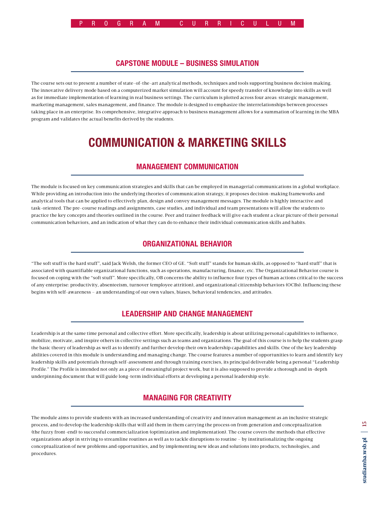

# CAPSTONE MODULE – BUSINESS SIMULATION

The course sets out to present a number of state-of-the-art analytical methods, techniques and tools supporting business decision making. The innovative delivery mode based on a computerized market simulation will account for speedy transfer of knowledge into skills as well as for immediate implementation of learning in real business settings. The curriculum is plotted across four areas: strategic management, marketing management, sales management, and finance. The module is designed to emphasize the interrelationships between processes taking place in an enterprise. Its comprehensive, integrative approach to business management allows for a summation of learning in the MBA program and validates the actual benefits derived by the students.

# COMMUNICATION & MARKETING SKILLS

# MANAGEMENT COMMUNICATION

The module is focused on key communication strategies and skills that can be employed in managerial communications in a global workplace. While providing an introduction into the underlying theories of communication strategy, it proposes decision-making frameworks and analytical tools that can be applied to effectively plan, design and convey management messages. The module is highly interactive and task-oriented. The pre-course readings and assignments, case studies, and individual and team presentations will allow the students to practice the key concepts and theories outlined in the course. Peer and trainer feedback will give each student a clear picture of their personal communication behaviors, and an indication of what they can do to enhance their individual communication skills and habits.

# ORGANIZATIONAL BEHAVIOR

"The soft stuff is the hard stuff", said Jack Welsh, the former CEO of GE. "Soft stuff" stands for human skills, as opposed to "hard stuff" that is associated with quantifiable organizational functions, such as operations, manufacturing, finance, etc. The Organizational Behavior course is focused on coping with the "soft stuff". More specifically, OB concerns the ability to influence four types of human actions critical to the success of any enterprise: productivity, absenteeism, turnover (employee attrition), and organizational citizenship behaviors (OCBs). Influencing these begins with self-awareness – an understanding of our own values, biases, behavioral tendencies, and attitudes.

# LEADERSHIP AND CHANGE MANAGEMENT

Leadership is at the same time personal and collective effort. More specifically, leadership is about utilizing personal capabilities to influence, mobilize, motivate, and inspire others in collective settings such as teams and organizations. The goal of this course is to help the students grasp the basic theory of leadership as well as to identify and further develop their own leadership capabilities and skills. One of the key leadership abilities covered in this module is understanding and managing change. The course features a number of opportunities to learn and identify key leadership skills and potentials through self-assessment and through training exercises, its principal deliverable being a personal "Leadership Profile." The Profile is intended not only as a piece of meaningful project work, but it is also supposed to provide a thorough and in-depth underpinning document that will guide long-term individual efforts at developing a personal leadership style.

# MANAGING FOR CREATIVITY

The module aims to provide students with an increased understanding of creativity and innovation management as an inclusive strategic process, and to develop the leadership skills that will aid them in them carrying the process on from generation and conceptualization (the fuzzy front-end) to successful commercialization (optimization and implementation). The course covers the methods that effective organizations adopt in striving to streamline routines as well as to tackle disruptions to routine – by institutionalizing the ongoing conceptualization of new problems and opportunities, and by implementing new ideas and solutions into products, technologies, and procedures.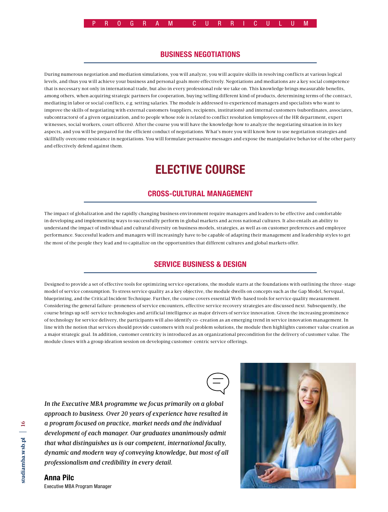

# Business Negotiations

During numerous negotiation and mediation simulations, you will analyze, you will acquire skills in resolving conflicts at various logical levels, and thus you will achieve your business and personal goals more effectively. Negotiations and mediations are a key social competence that is necessary not only in international trade, but also in every professional role we take on. This knowledge brings measurable benefits, among others, when acquiring strategic partners for cooperation, buying/selling different kind of products, determining terms of the contract, mediating in labor or social conflicts, e.g. setting salaries. The module is addressed to experienced managers and specialists who want to improve the skills of negotiating with external customers (suppliers, recipients, institutions) and internal customers (subordinates, associates, subcontractors) of a given organization, and to people whose role is related to conflict resolution (employees of the HR department, expert witnesses, social workers, court officers). After the course you will have the knowledge how to analyze the negotiating situation in its key aspects, and you will be prepared for the efficient conduct of negotiations. What's more you will know how to use negotiation strategies and skillfully overcome resistance in negotiations. You will formulate persuasive messages and expose the manipulative behavior of the other party and effectively defend against them.

# Elective Course

# CROSS-CULTURAL MANAGEMENT

The impact of globalization and the rapidly changing business environment require managers and leaders to be effective and comfortable in developing and implementing ways to successfully perform in global markets and across national cultures. It also entails an ability to understand the impact of individual and cultural diversity on business models, strategies, as well as on customer preferences and employee performance. Successful leaders and managers will increasingly have to be capable of adapting their management and leadership styles to get the most of the people they lead and to capitalize on the opportunities that different cultures and global markets offer.

# SERVICE BUSINESS & DESIGN

Designed to provide a set of effective tools for optimizing service operations, the module starts at the foundations with outlining the three-stage model of service consumption. To stress service quality as a key objective, the module dwells on concepts such as the Gap Model, Servqual, blueprinting, and the Critical Incident Technique. Further, the course covers essential Web-based tools for service quality measurement. Considering the general failure-proneness of service encounters, effective service recovery strategies are discussed next. Subsequently, the course brings up self-service technologies and artificial intelligence as major drivers of service innovation. Given the increasing prominence of technology for service delivery, the participants will also identify co-creation as an emerging trend in service innovation management. In line with the notion that services should provide customers with real problem solutions, the module then highlights customer value creation as a major strategic goal. In addition, customer centricity is introduced as an organizational precondition for the delivery of customer value. The module closes with a group ideation session on developing customer-centric service offerings.

*In the Executive MBA programme we focus primarily on a global approach to business. Over 20 years of experience have resulted in a program focused on practice, market needs and the individual development of each manager. Our graduates unanimously admit that what distinguishes us is our competent, international faculty, dynamic and modern way of conveying knowledge, but most of all professionalism and credibility in every detail.* 



Anna Pilc Executive MBA Program Manager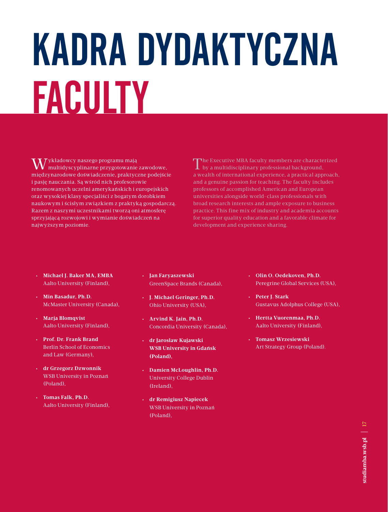# kadra dydaktyczna **FACULTY**

 $\displaystyle{\mathop{\hbox{\rm W}}\nolimits}$ ykładowcy naszego programu mają multidyscyplinarne przygotowanie zawodowe, międzynarodowe doświadczenie, praktyczne podejście i pasję nauczania. Są wśród nich profesorowie renomowanych uczelni amerykańskich i europejskich oraz wysokiej klasy specjaliści z bogatym dorobkiem naukowym i ścisłym związkiem z praktyką gospodarczą. Razem z naszymi uczestnikami tworzą oni atmosferę sprzyjającą rozwojowi i wymianie doświadczeń na najwyższym poziomie.

The Executive MBA faculty members are characterized by a multidisciplinary professional background, a wealth of international experience, a practical approach, and a genuine passion for teaching. The faculty includes professors of accomplished American and European universities alongside world-class professionals with broad research interests and ample exposure to business practice. This fine mix of industry and academia accounts for superior quality education and a favorable climate for development and experience sharing.

- • **Michael J. Baker MA, EMBA** Aalto University (Finland),
- • **Min Basadur, Ph.D.** McMaster University (Canada),
- • **Marja Blomqvist** Aalto University (Finland),
- • **Prof. Dr. Frank Brand** Berlin School of Economics and Law (Germany),
- • **dr Grzegorz Dzwonnik** WSB University in Poznań (Poland),
- • **Tomas Falk, Ph.D.** Aalto University (Finland),
- • **Jan Faryaszewski** GreenSpace Brands (Canada),
- • **J. Michael Geringer, Ph.D.** Ohio University (USA),
- • **Arvind K. Jain, Ph.D.** Concordia University (Canada),
- **• dr Jarosław Kujawski WSB University in Gdańsk (Poland),**
- **Damien McLoughlin, Ph.D.** University College Dublin (Ireland),
- • **dr Remigiusz Napiecek** WSB University in Poznań (Poland),
- • **Olin O. Oedekoven, Ph.D.**  Peregrine Global Services (USA),
- **Peter J. Stark** Gustavus Adolphus College (USA),
- • **Hertta Vuorenmaa, Ph.D.** Aalto University (Finland),
- • **Tomasz Wrzesiewski**  Art Strategy Group (Poland).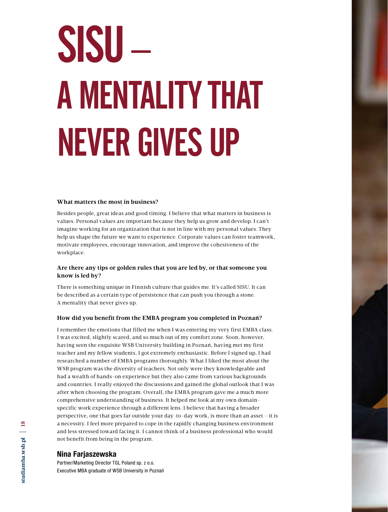# SISU – A mentality that never gives up

#### **What matters the most in business?**

Besides people, great ideas and good timing. I believe that what matters in business is values. Personal values are important because they help us grow and develop. I can't imagine working for an organization that is not in line with my personal values. They help us shape the future we want to experience. Corporate values can foster teamwork, motivate employees, encourage innovation, and improve the cohesiveness of the workplace.

### **Are there any tips or golden rules that you are led by, or that someone you know is led by?**

There is something unique in Finnish culture that guides me. It's called SISU. It can be described as a certain type of persistence that can push you through a stone. A mentality that never gives up.

### **How did you benefit from the EMBA program you completed in Poznań?**

I remember the emotions that filled me when I was entering my very first EMBA class. I was excited, slightly scared, and so much out of my comfort zone. Soon, however, having seen the exquisite WSB University building in Poznań, having met my first teacher and my fellow students, I got extremely enthusiastic. Before I signed up, I had researched a number of EMBA programs thoroughly. What I liked the most about the WSB program was the diversity of teachers. Not only were they knowledgeable and had a wealth of hands-on experience but they also came from various backgrounds and countries. I really enjoyed the discussions and gained the global outlook that I was after when choosing the program. Overall, the EMBA program gave me a much more comprehensive understanding of business. It helped me look at my own domainspecific work experience through a different lens. I believe that having a broader perspective, one that goes far outside your day-to-day work, is more than an asset – it is a necessity. I feel more prepared to cope in the rapidly changing business environment and less stressed toward facing it. I cannot think of a business professional who would not benefit from being in the program.

## Nina Farjaszewska

Partner/Marketing Director TGL Poland sp. z o.o. Executive MBA graduate of WSB University in Poznań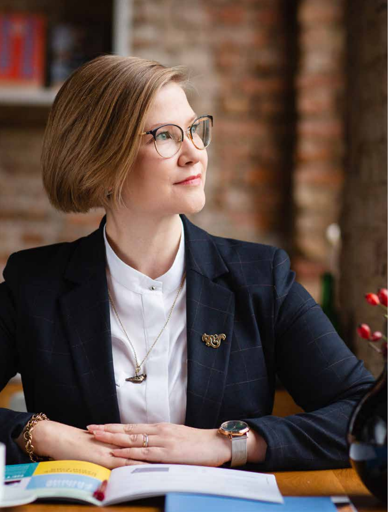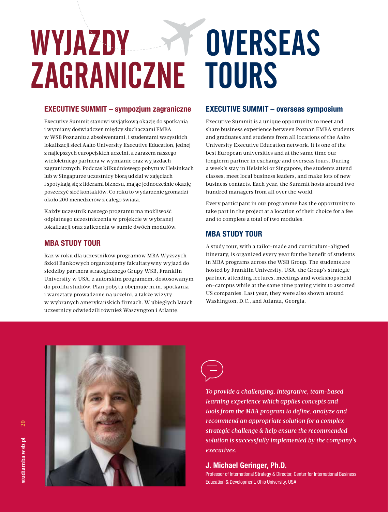# WYJAZDY ZAGRANICZNE

# EXECUTIVE SUMMIT – sympozjum zagraniczne

Executive Summit stanowi wyjątkową okazję do spotkania i wymiany doświadczeń między słuchaczami EMBA w WSB Poznaniu a absolwentami, i studentami wszystkich lokalizacji sieci Aalto University Executive Education, jednej z najlepszych europejskich uczelni, a zarazem naszego wieloletniego partnera w wymianie oraz wyjazdach zagranicznych. Podczas kilkudniowego pobytu w Helsinkach lub w Singapurze uczestnicy biorą udział w zajęciach i spotykają się z liderami biznesu, mając jednocześnie okazję poszerzyć sieć kontaktów. Co roku to wydarzenie gromadzi około 200 menedżerów z całego świata.

Każdy uczestnik naszego programu ma możliwość odpłatnego uczestniczenia w projekcie w wybranej lokalizacji oraz zaliczenia w sumie dwóch modułów.

# MBA STUDY TOUR

Raz w roku dla uczestników programów MBA Wyższych Szkół Bankowych organizujemy fakultatywny wyjazd do siedziby partnera strategicznego Grupy WSB, Franklin University w USA, z autorskim programem, dostosowanym do profilu studiów. Plan pobytu obejmuje m.in. spotkania i warsztaty prowadzone na uczelni, a także wizyty w wybranych amerykańskich firmach. W ubiegłych latach uczestnicy odwiedzili również Waszyngton i Atlantę.

# **OVERSEAS** TOURS

# EXECUTIVE SUMMIT – overseas symposium

Executive Summit is a unique opportunity to meet and share business experience between Poznań EMBA students and graduates and students from all locations of the Aalto University Executive Education network. It is one of the best European universities and at the same time our longterm partner in exchange and overseas tours. During a week's stay in Helsinki or Singapore, the students attend classes, meet local business leaders, and make lots of new business contacts. Each year, the Summit hosts around two hundred managers from all over the world.

Every participant in our programme has the opportunity to take part in the project at a location of their choice for a fee and to complete a total of two modules.

# MBA STUDY TOUR

A study tour, with a tailor-made and curriculum-aligned itinerary, is organized every year for the benefit of students in MBA programs across the WSB Group. The students are hosted by Franklin University, USA, the Group's strategic partner, attending lectures, meetings and workshops held on-campus while at the same time paying visits to assorted US companies. Last year, they were also shown around Washington, D.C., and Atlanta, Georgia.



*To provide a challenging, integrative, team-based learning experience which applies concepts and tools from the MBA program to define, analyze and recommend an appropriate solution for a complex strategic challenge & help ensure the recommended solution is successfully implemented by the company's executives.* 

# J. Michael Geringer, Ph.D.

Professor of International Strategy & Director, Center for International Business Education & Development, Ohio University, USA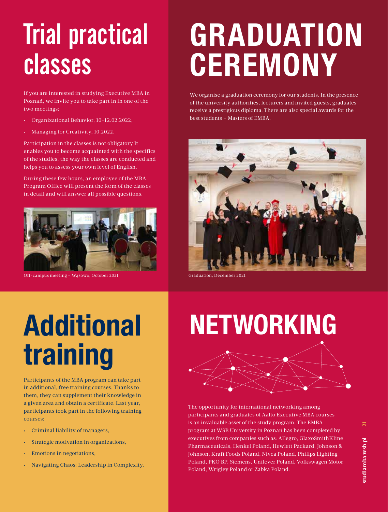# Trial practical classes

If you are interested in studying Executive MBA in Poznań, we invite you to take part in in one of the two meetings:

- • Organizational Behavior, 10-12.02.2022,
- Managing for Creativity, 10.2022.

Participation in the classes is not obligatory It enables you to become acquainted with the specifics of the studies, the way the classes are conducted and helps you to assess your own level of English.

During these few hours, an employee of the MBA Program Office will present the form of the classes in detail and will answer all possible questions.



Off-campus meeting – Wąsowo, October 2021 Graduation, December 2021

# Additional training

Participants of the MBA program can take part in additional, free training courses. Thanks to them, they can supplement their knowledge in a given area and obtain a certificate. Last year, participants took part in the following training courses:

- • Criminal liability of managers,
- Strategic motivation in organizations,
- **Emotions in negotiations,**
- Navigating Chaos: Leadership in Complexity.

# GRADUATION **CEREMONY**

We organise a graduation ceremony for our students. In the presence of the university authorities, lecturers and invited guests, graduates receive a prestigious diploma. There are also special awards for the best students – Masters of EMBA.





The opportunity for international networking among participants and graduates of Aalto Executive MBA courses is an invaluable asset of the study program. The EMBA program at WSB University in Poznań has been completed by executives from companies such as: Allegro, GlaxoSmithKline Pharmaceuticals, Henkel Poland, Hewlett Packard, Johnson & Johnson, Kraft Foods Poland, Nivea Poland, Philips Lighting Poland, PKO BP, Siemens, Unilever Poland, Volkswagen Motor Poland, Wrigley Poland or Żabka Poland.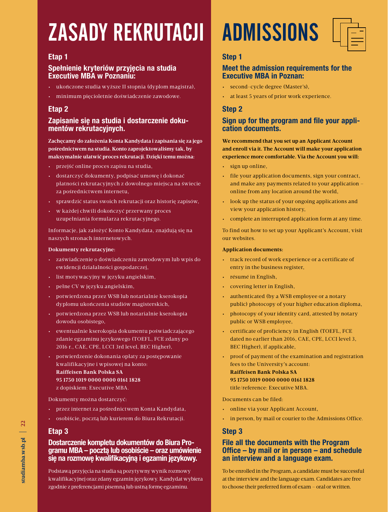# ZASADY REKRUTACJI

# Etap 1

# Spełnienie kryteriów przyjęcia na studia Executive MBA w Poznaniu:

- ukończone studia wyższe II stopnia (dyplom magistra),
- minimum pięcioletnie doświadczenie zawodowe.

# Etap 2

# Zapisanie się na studia i dostarczenie dokumentów rekrutacyjnych.

## **Zachęcamy do założenia Konta Kandydata i zapisania się za jego pośrednictwem na studia. Konto zaprojektowaliśmy tak, by maksymalnie ułatwić proces rekrutacji. Dzięki temu można:**

- przejść online proces zapisu na studia,
- dostarczyć dokumenty, podpisać umowę i dokonać płatności rekrutacyjnych z dowolnego miejsca na świecie za pośrednictwem internetu,
- sprawdzić status swoich rekrutacji oraz historię zapisów,
- w każdej chwili dokończyć przerwany proces uzupełniania formularza rekrutacyjnego.

Informacje, jak założyć Konto Kandydata, znajdują się na naszych stronach internetowych.

### **Dokumenty rekrutacyjne:**

- • zaświadczenie o doświadczeniu zawodowym lub wpis do ewidencji działalności gospodarczej,
- list motywacyjny w języku angielskim,
- pełne CV w języku angielskim,
- potwierdzona przez WSB lub notarialnie kserokopia dyplomu ukończenia studiów magisterskich,
- potwierdzona przez WSB lub notarialnie kserokopia dowodu osobistego,
- • ewentualnie kserokopia dokumentu poświadczającego zdanie egzaminu językowego (TOEFL, FCE zdany po 2016 r., CAE, CPE, LCCI 3rd level, BEC Higher),
- • potwierdzenie dokonania opłaty za postępowanie kwalifikacyjne i wpisowej na konto: **Raiffeisen Bank Polska SA 95 1750 1019 0000 0000 0161 1828**  z dopiskiem: Executive MBA.

### Dokumenty można dostarczyć:

- przez internet za pośrednictwem Konta Kandydata,
- • osobiście, pocztą lub kurierem do Biura Rekrutacji.

# Etap 3

# Dostarczenie kompletu dokumentów do Biura Programu MBA – pocztą lub osobiście – oraz umówienie się na rozmowę kwalifikacyjną i egzamin językowy.

Podstawą przyjęcia na studia są pozytywny wynik rozmowy kwalifikacyjnej oraz zdany egzamin językowy. Kandydat wybiera zgodnie z preferencjami pisemną lub ustną formę egzaminu.

# **ADMISSIONS**



# Step 1

# Meet the admission requirements for the Executive MBA in Poznan:

- • second-cycle degree (Master's),
- • at least 5 years of prior work experience.

# Step 2

# Sign up for the program and file your application documents.

**We recommend that you set up an Applicant Account and enroll via it. The Account will make your application experience more comfortable. Via the Account you will:**

- sign up online,
- • file your application documents, sign your contract, and make any payments related to your application – online from any location around the world,
- • look up the status of your ongoing applications and view your application history,
- • complete an interrupted application form at any time.

To find out how to set up your Applicant's Account, visit our websites.

### **Application documents:**

- • track record of work experience or a certificate of entry in the business register,
- • résumé in English,
- covering letter in English,
- authenticated (by a WSB employee or a notary public) photocopy of your higher education diploma,
- photocopy of your identity card, attested by notary public or WSB employee,
- • certificate of proficiency in English (TOEFL, FCE dated no earlier than 2016, CAE, CPE, LCCI level 3, BEC Higher), if applicable,
- • proof of payment of the examination and registration fees to the University's account:

**Raiffeisen Bank Polska SA 95 1750 1019 0000 0000 0161 1828** title/reference: Executive MBA.

### Documents can be filed:

- online via your Applicant Account,
- • in person, by mail or courier to the Admissions Office.

# Step 3

# File all the documents with the Program Office – by mail or in person – and schedule an interview and a language exam.

To be enrolled in the Program, a candidate must be successful at the interview and the language exam. Candidates are free to choose their preferred form of exam – oral or written.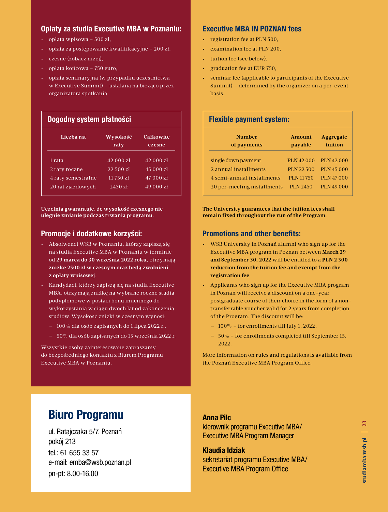# Opłaty za studia Executive MBA w Poznaniu:

- opłata wpisowa 500 zł,
- opłata za postępowanie kwalifikacyjne 200 zł,
- czesne (zobacz niżej),
- opłata końcowa 750 euro,
- • opłata seminaryjna (w przypadku uczestnictwa w Executive Summit) – ustalana na bieżąco przez organizatora spotkania.

| Dogodny system płatności |                     |                     |  |
|--------------------------|---------------------|---------------------|--|
| Liczba rat               | Wysokość<br>raty    | Całkowite<br>czesne |  |
| 1 rata                   | 42 000 zł           | 42 000 zł           |  |
| 2 raty roczne            | 22500z              | 45 000 zł           |  |
| 4 raty semestralne       | 11750z              | 47 000 zł           |  |
| 20 rat zjazdowych        | 2450 z <sub>1</sub> | 49 000 zł           |  |

**Uczelnia gwarantuje, że wysokość czesnego nie ulegnie zmianie podczas trwania programu.**

# Promocje i dodatkowe korzyści:

- • Absolwenci WSB w Poznaniu, którzy zapiszą się na studia Executive MBA w Poznaniu w terminie od **29 marca do 30 września 2022 roku**, otrzymają **zniżkę 2500 zł w czesnym oraz będą zwolnieni z opłaty wpisowej**.
- Kandydaci, którzy zapiszą się na studia Executive MBA, otrzymają zniżkę na wybrane roczne studia podyplomowe w postaci bonu imiennego do wykorzystania w ciągu dwóch lat od zakończenia studiów. Wysokość zniżki w czesnym wynosi:
	- 100% dla osób zapisanych do 1 lipca 2022 r.,
	- 50% dla osób zapisanych do 15 września 2022 r.

Wszystkie osoby zainteresowane zapraszamy do bezpośredniego kontaktu z Biurem Programu Executive MBA w Poznaniu.

# Executive MBA IN POZNAN fees

- registration fee at PLN 500,
- • examination fee at PLN 200,
- tuition fee (see below).
- graduation fee at EUR 750,
- seminar fee (applicable to participants of the Executive Summit) – determined by the organizer on a per-event basis.

| <b>Flexible payment system:</b>                     |                                |                             |  |
|-----------------------------------------------------|--------------------------------|-----------------------------|--|
| <b>Number</b><br>of payments                        | <b>Amount</b><br>payable       | <b>Aggregate</b><br>tuition |  |
| single down payment                                 | PLN 42.000                     | PLN 42000                   |  |
| 2 annual installments<br>4 semi-annual installments | PLN 22.500<br><b>PLN 11750</b> | PLN 45 000<br>PLN 47000     |  |
| 20 per-meeting installments                         | <b>PLN 2450</b>                | PLN 49 000                  |  |

**The University guarantees that the tuition fees shall remain fixed throughout the run of the Program.**

# Promotions and other benefits:

- • WSB University in Poznań alumni who sign up for the Executive MBA program in Poznan between **March 29 and September 30, 2022** will be entitled to a **PLN 2 500 reduction from the tuition fee and exempt from the registration fee**.
- Applicants who sign up for the Executive MBA program in Poznan will receive a discount on a one-year postgraduate course of their choice in the form of a nontransferrable voucher valid for 2 years from completion of the Program. The discount will be:
	- 100% for enrollments till July 1, 2022,
	- $-50%$  for enrollments completed till September 15, 2022.

More information on rules and regulations is available from the Poznań Executive MBA Program Office.

# Biuro Programu

ul. Ratajczaka 5/7, Poznań pokój 213 tel.: 61 655 33 57 e-mail: emba@wsb.poznan.pl pn-pt: 8.00-16.00

# Anna Pilc

kierownik programu Executive MBA/ Executive MBA Program Manager

Klaudia Idziak sekretariat programu Executive MBA/ Executive MBA Program Office